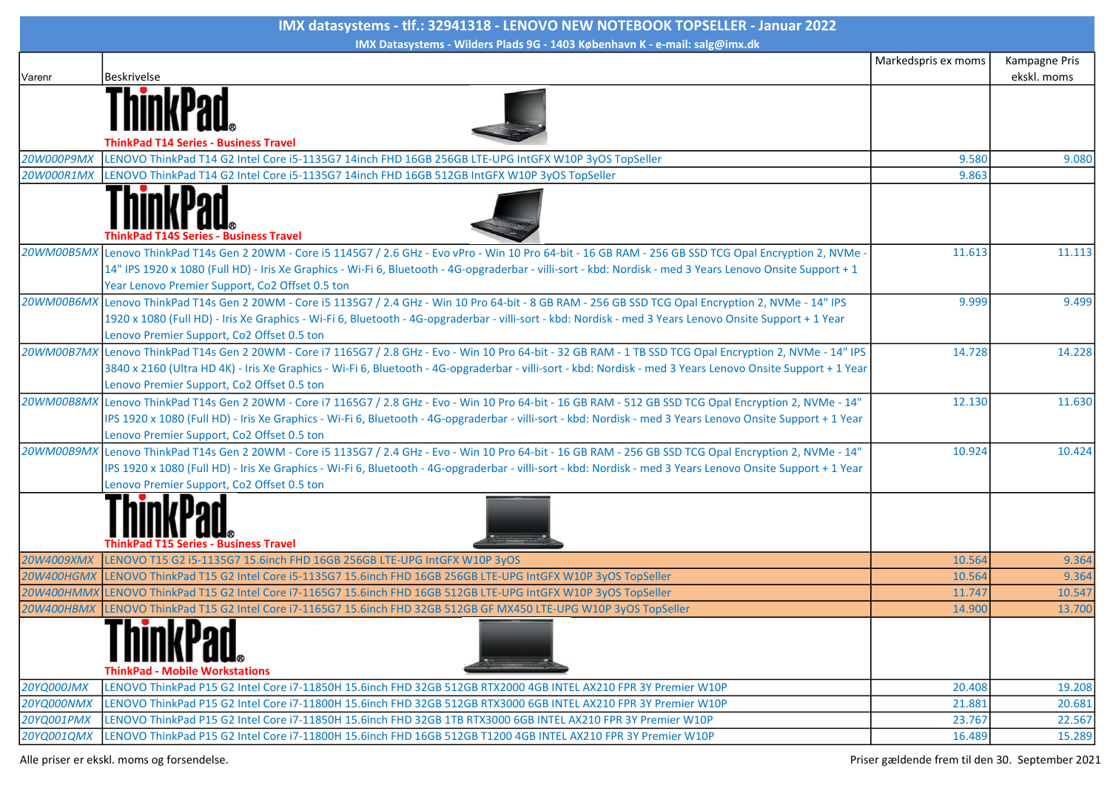| IMX datasystems - tlf.: 32941318 - LENOVO NEW NOTEBOOK TOPSELLER - Januar 2022 |                                                                                                                                                              |                     |               |  |  |
|--------------------------------------------------------------------------------|--------------------------------------------------------------------------------------------------------------------------------------------------------------|---------------------|---------------|--|--|
|                                                                                | IMX Datasystems - Wilders Plads 9G - 1403 København K - e-mail: salg@imx.dk                                                                                  |                     |               |  |  |
|                                                                                |                                                                                                                                                              | Markedspris ex moms | Kampagne Pris |  |  |
| Varenr                                                                         | Beskrivelse                                                                                                                                                  |                     | ekskl. moms   |  |  |
|                                                                                |                                                                                                                                                              |                     |               |  |  |
|                                                                                |                                                                                                                                                              |                     |               |  |  |
|                                                                                |                                                                                                                                                              |                     |               |  |  |
|                                                                                | ThinkPad T14 Series - Business Travel                                                                                                                        |                     |               |  |  |
| 20W000P9MX                                                                     | LENOVO ThinkPad T14 G2 Intel Core i5-1135G7 14inch FHD 16GB 256GB LTE-UPG IntGFX W10P 3yOS TopSeller                                                         | 9.580               | 9.080         |  |  |
| 20W000R1MX                                                                     | LENOVO ThinkPad T14 G2 Intel Core i5-1135G7 14inch FHD 16GB 512GB IntGFX W10P 3yOS TopSeller                                                                 | 9.863               |               |  |  |
|                                                                                | <b>T14S Series - Business Travel</b>                                                                                                                         |                     |               |  |  |
|                                                                                | 20WM00B5MX Lenovo ThinkPad T14s Gen 2 20WM - Core i5 1145G7 / 2.6 GHz - Evo vPro - Win 10 Pro 64-bit - 16 GB RAM - 256 GB SSD TCG Opal Encryption 2, NVMe -  | 11.613              | 11.113        |  |  |
|                                                                                | 14" IPS 1920 x 1080 (Full HD) - Iris Xe Graphics - Wi-Fi 6, Bluetooth - 4G-opgraderbar - villi-sort - kbd: Nordisk - med 3 Years Lenovo Onsite Support + 1   |                     |               |  |  |
|                                                                                | Year Lenovo Premier Support, Co2 Offset 0.5 ton                                                                                                              |                     |               |  |  |
|                                                                                | 20WM00B6MX Lenovo ThinkPad T14s Gen 2 20WM - Core i5 1135G7 / 2.4 GHz - Win 10 Pro 64-bit - 8 GB RAM - 256 GB SSD TCG Opal Encryption 2, NVMe - 14" IPS      | 9.999               | 9.499         |  |  |
|                                                                                | 1920 x 1080 (Full HD) - Iris Xe Graphics - Wi-Fi 6, Bluetooth - 4G-opgraderbar - villi-sort - kbd: Nordisk - med 3 Years Lenovo Onsite Support + 1 Year      |                     |               |  |  |
|                                                                                | Lenovo Premier Support, Co2 Offset 0.5 ton                                                                                                                   |                     |               |  |  |
|                                                                                | 20WM00B7MX Lenovo ThinkPad T14s Gen 2 20WM - Core i7 1165G7 / 2.8 GHz - Evo - Win 10 Pro 64-bit - 32 GB RAM - 1 TB SSD TCG Opal Encryption 2, NVMe - 14" IPS | 14.728              | 14.228        |  |  |
|                                                                                | 3840 x 2160 (Ultra HD 4K) - Iris Xe Graphics - Wi-Fi 6, Bluetooth - 4G-opgraderbar - villi-sort - kbd: Nordisk - med 3 Years Lenovo Onsite Support + 1 Year  |                     |               |  |  |
|                                                                                | Lenovo Premier Support, Co2 Offset 0.5 ton                                                                                                                   |                     |               |  |  |
|                                                                                | 20WM00B8MX Lenovo ThinkPad T14s Gen 2 20WM - Core i7 1165G7 / 2.8 GHz - Evo - Win 10 Pro 64-bit - 16 GB RAM - 512 GB SSD TCG Opal Encryption 2, NVMe - 14"   | 12.130              | 11.630        |  |  |
|                                                                                | IPS 1920 x 1080 (Full HD) - Iris Xe Graphics - Wi-Fi 6, Bluetooth - 4G-opgraderbar - villi-sort - kbd: Nordisk - med 3 Years Lenovo Onsite Support + 1 Year  |                     |               |  |  |
|                                                                                | Lenovo Premier Support, Co2 Offset 0.5 ton                                                                                                                   |                     |               |  |  |
|                                                                                | 20WM00B9MX Lenovo ThinkPad T14s Gen 2 20WM - Core i5 1135G7 / 2.4 GHz - Evo - Win 10 Pro 64-bit - 16 GB RAM - 256 GB SSD TCG Opal Encryption 2, NVMe - 14"   | 10.924              | 10.424        |  |  |
|                                                                                | IPS 1920 x 1080 (Full HD) - Iris Xe Graphics - Wi-Fi 6, Bluetooth - 4G-opgraderbar - villi-sort - kbd: Nordisk - med 3 Years Lenovo Onsite Support + 1 Year  |                     |               |  |  |
|                                                                                | Lenovo Premier Support, Co2 Offset 0.5 ton                                                                                                                   |                     |               |  |  |
|                                                                                | <b>Series - Business Travel</b>                                                                                                                              |                     |               |  |  |
| 20W4009XMX                                                                     | LENOVO T15 G2 i5-1135G7 15.6inch FHD 16GB 256GB LTE-UPG IntGFX W10P 3yOS                                                                                     | 10.564              | 9.364         |  |  |
| <b>20W400HGMX</b>                                                              | LENOVO ThinkPad T15 G2 Intel Core i5-1135G7 15.6inch FHD 16GB 256GB LTE-UPG IntGFX W10P 3yOS TopSeller                                                       | 10.564              | 9.364         |  |  |
|                                                                                | 20W400HMMX LENOVO ThinkPad T15 G2 Intel Core i7-1165G7 15.6inch FHD 16GB 512GB LTE-UPG IntGFX W10P 3yOS TopSeller                                            | 11.747              | 10.547        |  |  |
|                                                                                | 20W400HBMX LENOVO ThinkPad T15 G2 Intel Core i7-1165G7 15.6inch FHD 32GB 512GB GF MX450 LTE-UPG W10P 3yOS TopSeller                                          | 14.900              | 13.700        |  |  |
|                                                                                | <b>ThinkPad - Mobile Workstations</b>                                                                                                                        |                     |               |  |  |
| <b>20YQ000JMX</b>                                                              | LENOVO ThinkPad P15 G2 Intel Core i7-11850H 15.6inch FHD 32GB 512GB RTX2000 4GB INTEL AX210 FPR 3Y Premier W10P                                              | 20.408              | 19.208        |  |  |
| <b>20YQ000NMX</b>                                                              | LENOVO ThinkPad P15 G2 Intel Core i7-11800H 15.6inch FHD 32GB 512GB RTX3000 6GB INTEL AX210 FPR 3Y Premier W10P                                              | 21.881              | 20.681        |  |  |
| 20YQ001PMX                                                                     | LENOVO ThinkPad P15 G2 Intel Core i7-11850H 15.6inch FHD 32GB 1TB RTX3000 6GB INTEL AX210 FPR 3Y Premier W10P                                                | 23.767              | 22.567        |  |  |
| 20YQ001QMX                                                                     | LENOVO ThinkPad P15 G2 Intel Core i7-11800H 15.6inch FHD 16GB 512GB T1200 4GB INTEL AX210 FPR 3Y Premier W10P                                                | 16.489              | 15.289        |  |  |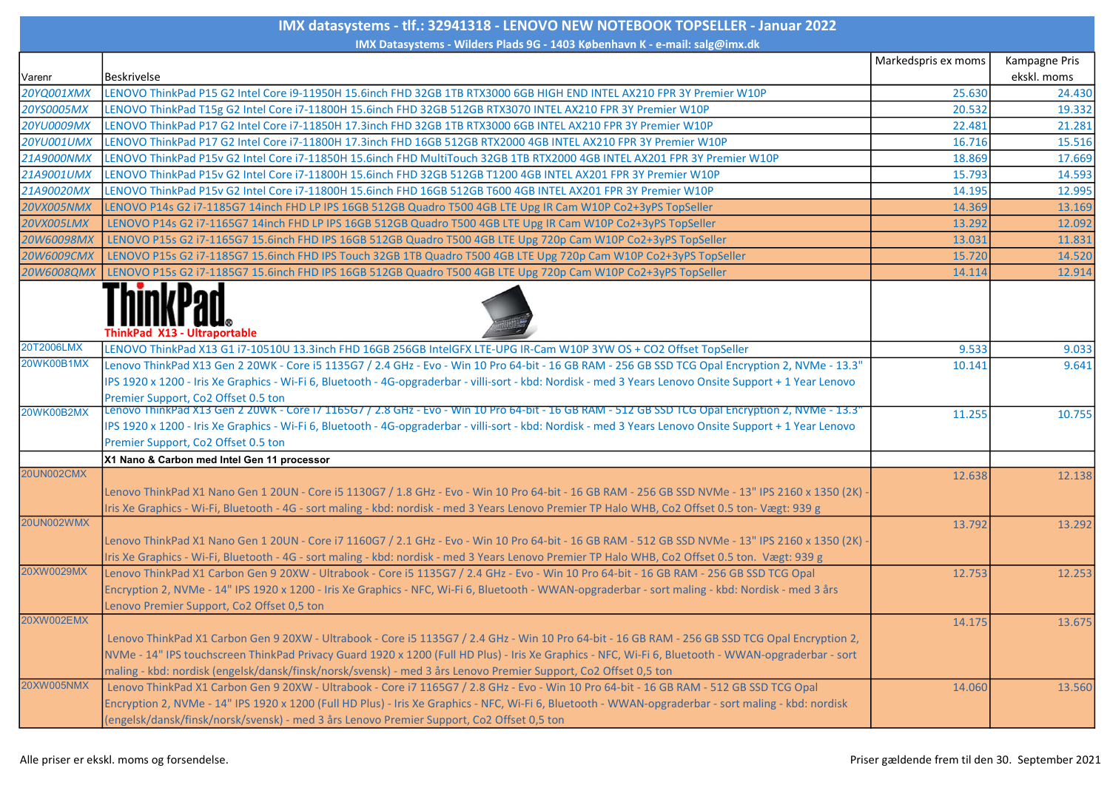| IMX datasystems - tlf.: 32941318 - LENOVO NEW NOTEBOOK TOPSELLER - Januar 2022 |                                                                                                                                                                                                                                                            |                     |                              |  |  |
|--------------------------------------------------------------------------------|------------------------------------------------------------------------------------------------------------------------------------------------------------------------------------------------------------------------------------------------------------|---------------------|------------------------------|--|--|
|                                                                                | IMX Datasystems - Wilders Plads 9G - 1403 København K - e-mail: salg@imx.dk                                                                                                                                                                                |                     |                              |  |  |
| Varenr                                                                         | Beskrivelse                                                                                                                                                                                                                                                | Markedspris ex moms | Kampagne Pris<br>ekskl. moms |  |  |
| 20YQ001XMX                                                                     | LENOVO ThinkPad P15 G2 Intel Core i9-11950H 15.6inch FHD 32GB 1TB RTX3000 6GB HIGH END INTEL AX210 FPR 3Y Premier W10P                                                                                                                                     | 25.630              | 24.430                       |  |  |
| 20YS0005MX                                                                     | LENOVO ThinkPad T15g G2 Intel Core i7-11800H 15.6inch FHD 32GB 512GB RTX3070 INTEL AX210 FPR 3Y Premier W10P                                                                                                                                               | 20.532              | 19.332                       |  |  |
| <b>20YU0009MX</b>                                                              | LENOVO ThinkPad P17 G2 Intel Core i7-11850H 17.3inch FHD 32GB 1TB RTX3000 6GB INTEL AX210 FPR 3Y Premier W10P                                                                                                                                              | 22.481              | 21.281                       |  |  |
| <b>20YU001UMX</b>                                                              | LENOVO ThinkPad P17 G2 Intel Core i7-11800H 17.3inch FHD 16GB 512GB RTX2000 4GB INTEL AX210 FPR 3Y Premier W10P                                                                                                                                            | 16.716              | 15.516                       |  |  |
| 21A9000NMX                                                                     | LENOVO ThinkPad P15v G2 Intel Core i7-11850H 15.6inch FHD MultiTouch 32GB 1TB RTX2000 4GB INTEL AX201 FPR 3Y Premier W10P                                                                                                                                  | 18.869              | 17.669                       |  |  |
| 21A9001UMX                                                                     | LENOVO ThinkPad P15v G2 Intel Core i7-11800H 15.6inch FHD 32GB 512GB T1200 4GB INTEL AX201 FPR 3Y Premier W10P                                                                                                                                             | 15.793              | 14.593                       |  |  |
| 21A90020MX                                                                     | LENOVO ThinkPad P15v G2 Intel Core i7-11800H 15.6inch FHD 16GB 512GB T600 4GB INTEL AX201 FPR 3Y Premier W10P                                                                                                                                              | 14.195              | 12.995                       |  |  |
| <b>20VX005NMX</b>                                                              | LENOVO P14s G2 i7-1185G7 14inch FHD LP IPS 16GB 512GB Quadro T500 4GB LTE Upg IR Cam W10P Co2+3yPS TopSeller                                                                                                                                               | 14.369              | 13.169                       |  |  |
| <b>20VX005LMX</b>                                                              | LENOVO P14s G2 i7-1165G7 14inch FHD LP IPS 16GB 512GB Quadro T500 4GB LTE Upg IR Cam W10P Co2+3yPS TopSeller                                                                                                                                               | 13.292              | 12.092                       |  |  |
| 20W60098MX                                                                     | LENOVO P15s G2 i7-1165G7 15.6inch FHD IPS 16GB 512GB Quadro T500 4GB LTE Upg 720p Cam W10P Co2+3yPS TopSeller                                                                                                                                              | 13.031              | 11.831                       |  |  |
| 20W6009CMX                                                                     | LENOVO P15s G2 i7-1185G7 15.6inch FHD IPS Touch 32GB 1TB Quadro T500 4GB LTE Upg 720p Cam W10P Co2+3yPS TopSeller                                                                                                                                          | 15.720              | 14.520                       |  |  |
| <b>20W6008QMX</b>                                                              | LENOVO P15s G2 i7-1185G7 15.6inch FHD IPS 16GB 512GB Quadro T500 4GB LTE Upg 720p Cam W10P Co2+3yPS TopSeller                                                                                                                                              | 14.114              | 12.914                       |  |  |
|                                                                                | ThinkPad X13 - Ultraportable                                                                                                                                                                                                                               |                     |                              |  |  |
| 20T2006LMX                                                                     | LENOVO ThinkPad X13 G1 i7-10510U 13.3inch FHD 16GB 256GB IntelGFX LTE-UPG IR-Cam W10P 3YW OS + CO2 Offset TopSeller                                                                                                                                        | 9.533               | 9.033                        |  |  |
| 20WK00B1MX                                                                     | Lenovo ThinkPad X13 Gen 2 20WK - Core i5 1135G7 / 2.4 GHz - Evo - Win 10 Pro 64-bit - 16 GB RAM - 256 GB SSD TCG Opal Encryption 2, NVMe - 13.3"                                                                                                           | 10.141              | 9.641                        |  |  |
|                                                                                | IPS 1920 x 1200 - Iris Xe Graphics - Wi-Fi 6, Bluetooth - 4G-opgraderbar - villi-sort - kbd: Nordisk - med 3 Years Lenovo Onsite Support + 1 Year Lenovo                                                                                                   |                     |                              |  |  |
|                                                                                | Premier Support, Co2 Offset 0.5 ton                                                                                                                                                                                                                        |                     |                              |  |  |
| 20WK00B2MX                                                                     | Lenovo ThinkPad X13 Gen 2 20WK - Core i/ 1165G/ / 2.8 GHz - Evo - Win 10 Pro 64-bit - 16 GB RAM - 512 GB SSD TCG Opal Encryption 2, NVMe - 13.3"                                                                                                           | 11.255              | 10.755                       |  |  |
|                                                                                | IPS 1920 x 1200 - Iris Xe Graphics - Wi-Fi 6, Bluetooth - 4G-opgraderbar - villi-sort - kbd: Nordisk - med 3 Years Lenovo Onsite Support + 1 Year Lenovo                                                                                                   |                     |                              |  |  |
|                                                                                | Premier Support, Co2 Offset 0.5 ton                                                                                                                                                                                                                        |                     |                              |  |  |
| <b>20UN002CMX</b>                                                              | X1 Nano & Carbon med Intel Gen 11 processor                                                                                                                                                                                                                |                     |                              |  |  |
|                                                                                |                                                                                                                                                                                                                                                            | 12.638              | 12.138                       |  |  |
|                                                                                | Lenovo ThinkPad X1 Nano Gen 1 20UN - Core i5 1130G7 / 1.8 GHz - Evo - Win 10 Pro 64-bit - 16 GB RAM - 256 GB SSD NVMe - 13" IPS 2160 x 1350 (2K)                                                                                                           |                     |                              |  |  |
| <b>20UN002WMX</b>                                                              | Iris Xe Graphics - Wi-Fi, Bluetooth - 4G - sort maling - kbd: nordisk - med 3 Years Lenovo Premier TP Halo WHB, Co2 Offset 0.5 ton- Vægt: 939 g                                                                                                            |                     |                              |  |  |
|                                                                                |                                                                                                                                                                                                                                                            | 13.792              | 13.292                       |  |  |
|                                                                                | Lenovo ThinkPad X1 Nano Gen 1 20UN - Core i7 1160G7 / 2.1 GHz - Evo - Win 10 Pro 64-bit - 16 GB RAM - 512 GB SSD NVMe - 13" IPS 2160 x 1350 (2K)                                                                                                           |                     |                              |  |  |
| 20XW0029MX                                                                     | Iris Xe Graphics - Wi-Fi, Bluetooth - 4G - sort maling - kbd: nordisk - med 3 Years Lenovo Premier TP Halo WHB, Co2 Offset 0.5 ton. Vægt: 939 g                                                                                                            |                     |                              |  |  |
|                                                                                | Lenovo ThinkPad X1 Carbon Gen 9 20XW - Ultrabook - Core i5 1135G7 / 2.4 GHz - Evo - Win 10 Pro 64-bit - 16 GB RAM - 256 GB SSD TCG Opal                                                                                                                    | 12.753              | 12.253                       |  |  |
|                                                                                | Encryption 2, NVMe - 14" IPS 1920 x 1200 - Iris Xe Graphics - NFC, Wi-Fi 6, Bluetooth - WWAN-opgraderbar - sort maling - kbd: Nordisk - med 3 års                                                                                                          |                     |                              |  |  |
| 20XW002EMX                                                                     | Lenovo Premier Support, Co2 Offset 0,5 ton                                                                                                                                                                                                                 |                     |                              |  |  |
|                                                                                |                                                                                                                                                                                                                                                            | 14.175              | 13.675                       |  |  |
|                                                                                | Lenovo ThinkPad X1 Carbon Gen 9 20XW - Ultrabook - Core i5 1135G7 / 2.4 GHz - Win 10 Pro 64-bit - 16 GB RAM - 256 GB SSD TCG Opal Encryption 2,                                                                                                            |                     |                              |  |  |
|                                                                                | NVMe - 14" IPS touchscreen ThinkPad Privacy Guard 1920 x 1200 (Full HD Plus) - Iris Xe Graphics - NFC, Wi-Fi 6, Bluetooth - WWAN-opgraderbar - sort                                                                                                        |                     |                              |  |  |
| 20XW005NMX                                                                     | maling - kbd: nordisk (engelsk/dansk/finsk/norsk/svensk) - med 3 års Lenovo Premier Support, Co2 Offset 0,5 ton<br>Lenovo ThinkPad X1 Carbon Gen 9 20XW - Ultrabook - Core i7 1165G7 / 2.8 GHz - Evo - Win 10 Pro 64-bit - 16 GB RAM - 512 GB SSD TCG Opal |                     |                              |  |  |
|                                                                                | Encryption 2, NVMe - 14" IPS 1920 x 1200 (Full HD Plus) - Iris Xe Graphics - NFC, Wi-Fi 6, Bluetooth - WWAN-opgraderbar - sort maling - kbd: nordisk                                                                                                       | 14.060              | 13.560                       |  |  |
|                                                                                | (engelsk/dansk/finsk/norsk/svensk) - med 3 års Lenovo Premier Support, Co2 Offset 0,5 ton                                                                                                                                                                  |                     |                              |  |  |
|                                                                                |                                                                                                                                                                                                                                                            |                     |                              |  |  |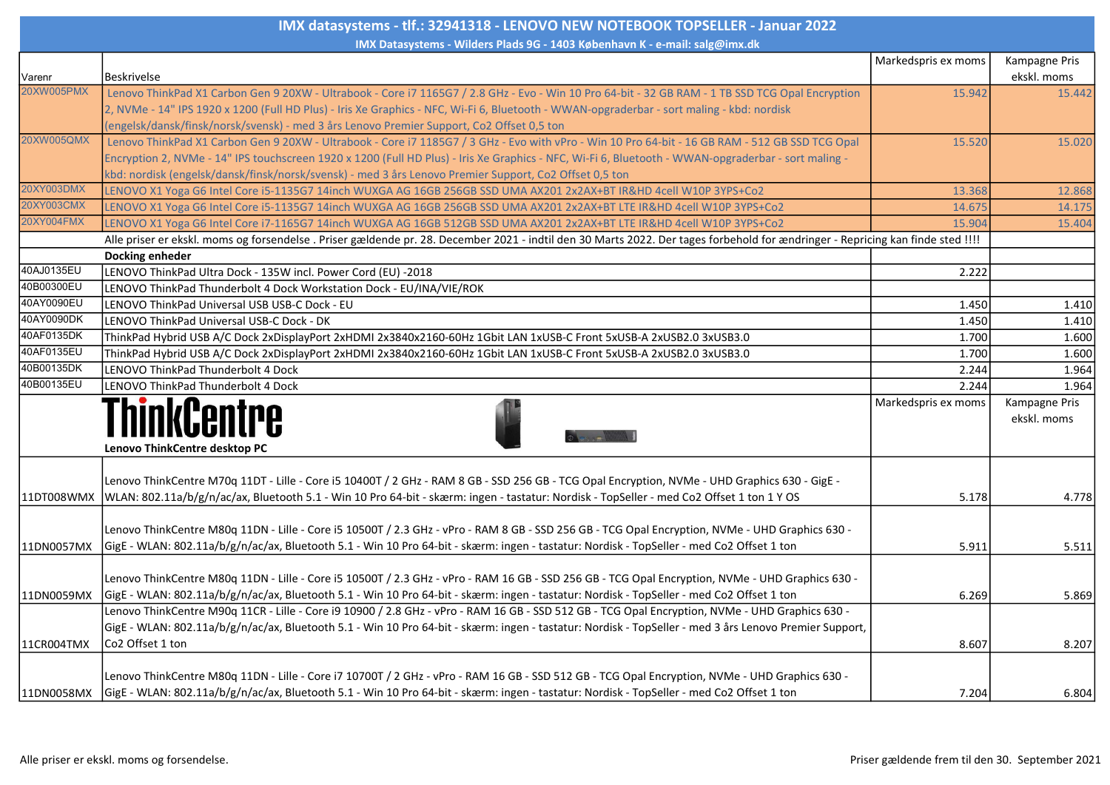| IMX datasystems - tlf.: 32941318 - LENOVO NEW NOTEBOOK TOPSELLER - Januar 2022 |                                                                                                                                                                                                                                                                                                                               |                     |                              |  |
|--------------------------------------------------------------------------------|-------------------------------------------------------------------------------------------------------------------------------------------------------------------------------------------------------------------------------------------------------------------------------------------------------------------------------|---------------------|------------------------------|--|
| IMX Datasystems - Wilders Plads 9G - 1403 København K - e-mail: salg@imx.dk    |                                                                                                                                                                                                                                                                                                                               |                     |                              |  |
| Varenr                                                                         | <b>Beskrivelse</b>                                                                                                                                                                                                                                                                                                            | Markedspris ex moms | Kampagne Pris<br>ekskl. moms |  |
| 20XW005PMX                                                                     | Lenovo ThinkPad X1 Carbon Gen 9 20XW - Ultrabook - Core i7 1165G7 / 2.8 GHz - Evo - Win 10 Pro 64-bit - 32 GB RAM - 1 TB SSD TCG Opal Encryption                                                                                                                                                                              | 15.942              | 15.442                       |  |
|                                                                                | 2, NVMe - 14" IPS 1920 x 1200 (Full HD Plus) - Iris Xe Graphics - NFC, Wi-Fi 6, Bluetooth - WWAN-opgraderbar - sort maling - kbd: nordisk                                                                                                                                                                                     |                     |                              |  |
|                                                                                | (engelsk/dansk/finsk/norsk/svensk) - med 3 års Lenovo Premier Support, Co2 Offset 0,5 ton                                                                                                                                                                                                                                     |                     |                              |  |
| 20XW005QMX                                                                     | Lenovo ThinkPad X1 Carbon Gen 9 20XW - Ultrabook - Core i7 1185G7 / 3 GHz - Evo with vPro - Win 10 Pro 64-bit - 16 GB RAM - 512 GB SSD TCG Opal                                                                                                                                                                               | 15.520              | 15.020                       |  |
|                                                                                | Encryption 2, NVMe - 14" IPS touchscreen 1920 x 1200 (Full HD Plus) - Iris Xe Graphics - NFC, Wi-Fi 6, Bluetooth - WWAN-opgraderbar - sort maling -                                                                                                                                                                           |                     |                              |  |
|                                                                                | kbd: nordisk (engelsk/dansk/finsk/norsk/svensk) - med 3 års Lenovo Premier Support, Co2 Offset 0,5 ton                                                                                                                                                                                                                        |                     |                              |  |
| 20XY003DMX                                                                     | LENOVO X1 Yoga G6 Intel Core i5-1135G7 14inch WUXGA AG 16GB 256GB SSD UMA AX201 2x2AX+BT IR&HD 4cell W10P 3YPS+Co2                                                                                                                                                                                                            | 13.368              | 12.868                       |  |
| 20XY003CMX                                                                     | LENOVO X1 Yoga G6 Intel Core i5-1135G7 14inch WUXGA AG 16GB 256GB SSD UMA AX201 2x2AX+BT LTE IR&HD 4cell W10P 3YPS+Co2                                                                                                                                                                                                        | 14.675              | 14.175                       |  |
| 20XY004FMX                                                                     | LENOVO X1 Yoga G6 Intel Core i7-1165G7 14inch WUXGA AG 16GB 512GB SSD UMA AX201 2x2AX+BT LTE IR&HD 4cell W10P 3YPS+Co2                                                                                                                                                                                                        | 15.904              | 15.404                       |  |
|                                                                                | Alle priser er ekskl. moms og forsendelse . Priser gældende pr. 28. December 2021 - indtil den 30 Marts 2022. Der tages forbehold for ændringer - Repricing kan finde sted !!!!                                                                                                                                               |                     |                              |  |
|                                                                                | Docking enheder                                                                                                                                                                                                                                                                                                               |                     |                              |  |
| 40AJ0135EU                                                                     | LENOVO ThinkPad Ultra Dock - 135W incl. Power Cord (EU) -2018                                                                                                                                                                                                                                                                 | 2.222               |                              |  |
| 40B00300EU                                                                     | LENOVO ThinkPad Thunderbolt 4 Dock Workstation Dock - EU/INA/VIE/ROK                                                                                                                                                                                                                                                          |                     |                              |  |
| 40AY0090EU                                                                     | LENOVO ThinkPad Universal USB USB-C Dock - EU                                                                                                                                                                                                                                                                                 | 1.450               | 1.410                        |  |
| 40AY0090DK                                                                     | LENOVO ThinkPad Universal USB-C Dock - DK                                                                                                                                                                                                                                                                                     | 1.450               | 1.410                        |  |
| 40AF0135DK                                                                     | ThinkPad Hybrid USB A/C Dock 2xDisplayPort 2xHDMI 2x3840x2160-60Hz 1Gbit LAN 1xUSB-C Front 5xUSB-A 2xUSB2.0 3xUSB3.0                                                                                                                                                                                                          | 1.700               | 1.600                        |  |
| 40AF0135EU                                                                     | ThinkPad Hybrid USB A/C Dock 2xDisplayPort 2xHDMI 2x3840x2160-60Hz 1Gbit LAN 1xUSB-C Front 5xUSB-A 2xUSB2.0 3xUSB3.0                                                                                                                                                                                                          | 1.700               | 1.600                        |  |
| 40B00135DK                                                                     | LENOVO ThinkPad Thunderbolt 4 Dock                                                                                                                                                                                                                                                                                            | 2.244               | 1.964                        |  |
| 40B00135EU                                                                     | LENOVO ThinkPad Thunderbolt 4 Dock                                                                                                                                                                                                                                                                                            | 2.244               | 1.964                        |  |
|                                                                                | Lenovo ThinkCentre desktop PC                                                                                                                                                                                                                                                                                                 | Markedspris ex moms | Kampagne Pris<br>ekskl. moms |  |
|                                                                                | Lenovo ThinkCentre M70q 11DT - Lille - Core i5 10400T / 2 GHz - RAM 8 GB - SSD 256 GB - TCG Opal Encryption, NVMe - UHD Graphics 630 - GigE -<br>11DT008WMX  WLAN: 802.11a/b/g/n/ac/ax, Bluetooth 5.1 - Win 10 Pro 64-bit - skærm: ingen - tastatur: Nordisk - TopSeller - med Co2 Offset 1 ton 1 Y OS                        | 5.178               | 4.778                        |  |
| 11DN0057MX                                                                     | Lenovo ThinkCentre M80q 11DN - Lille - Core i5 10500T / 2.3 GHz - vPro - RAM 8 GB - SSD 256 GB - TCG Opal Encryption, NVMe - UHD Graphics 630 -<br>GigE - WLAN: 802.11a/b/g/n/ac/ax, Bluetooth 5.1 - Win 10 Pro 64-bit - skærm: ingen - tastatur: Nordisk - TopSeller - med Co2 Offset 1 ton                                  | 5.911               | 5.511                        |  |
| 11DN0059MX                                                                     | Lenovo ThinkCentre M80q 11DN - Lille - Core i5 10500T / 2.3 GHz - vPro - RAM 16 GB - SSD 256 GB - TCG Opal Encryption, NVMe - UHD Graphics 630 -<br>GigE - WLAN: 802.11a/b/g/n/ac/ax, Bluetooth 5.1 - Win 10 Pro 64-bit - skærm: ingen - tastatur: Nordisk - TopSeller - med Co2 Offset 1 ton                                 | 6.269               | 5.869                        |  |
| 11CR004TMX                                                                     | Lenovo ThinkCentre M90q 11CR - Lille - Core i9 10900 / 2.8 GHz - vPro - RAM 16 GB - SSD 512 GB - TCG Opal Encryption, NVMe - UHD Graphics 630 -<br>GigE - WLAN: 802.11a/b/g/n/ac/ax, Bluetooth 5.1 - Win 10 Pro 64-bit - skærm: ingen - tastatur: Nordisk - TopSeller - med 3 års Lenovo Premier Support,<br>Co2 Offset 1 ton | 8.607               | 8.207                        |  |
| 11DN0058MX                                                                     | Lenovo ThinkCentre M80q 11DN - Lille - Core i7 10700T / 2 GHz - vPro - RAM 16 GB - SSD 512 GB - TCG Opal Encryption, NVMe - UHD Graphics 630 -<br>GigE - WLAN: 802.11a/b/g/n/ac/ax, Bluetooth 5.1 - Win 10 Pro 64-bit - skærm: ingen - tastatur: Nordisk - TopSeller - med Co2 Offset 1 ton                                   | 7.204               | 6.804                        |  |